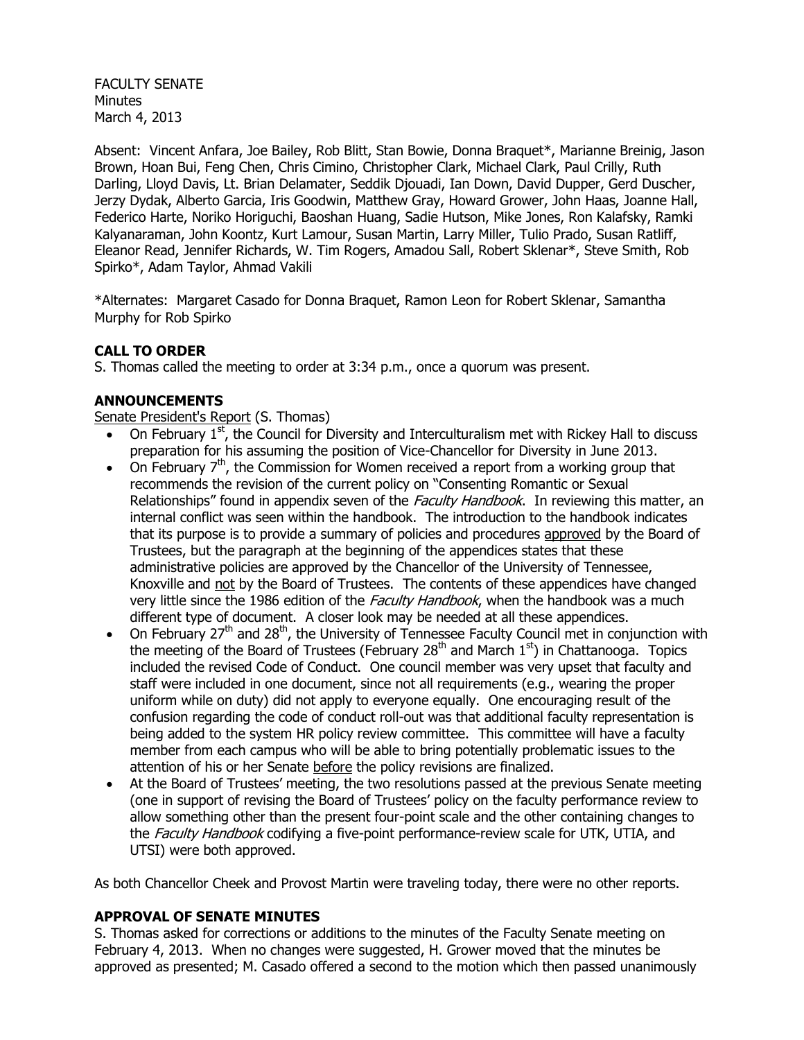FACULTY SENATE **Minutes** March 4, 2013

Absent: Vincent Anfara, Joe Bailey, Rob Blitt, Stan Bowie, Donna Braquet\*, Marianne Breinig, Jason Brown, Hoan Bui, Feng Chen, Chris Cimino, Christopher Clark, Michael Clark, Paul Crilly, Ruth Darling, Lloyd Davis, Lt. Brian Delamater, Seddik Djouadi, Ian Down, David Dupper, Gerd Duscher, Jerzy Dydak, Alberto Garcia, Iris Goodwin, Matthew Gray, Howard Grower, John Haas, Joanne Hall, Federico Harte, Noriko Horiguchi, Baoshan Huang, Sadie Hutson, Mike Jones, Ron Kalafsky, Ramki Kalyanaraman, John Koontz, Kurt Lamour, Susan Martin, Larry Miller, Tulio Prado, Susan Ratliff, Eleanor Read, Jennifer Richards, W. Tim Rogers, Amadou Sall, Robert Sklenar\*, Steve Smith, Rob Spirko\*, Adam Taylor, Ahmad Vakili

\*Alternates: Margaret Casado for Donna Braquet, Ramon Leon for Robert Sklenar, Samantha Murphy for Rob Spirko

# **CALL TO ORDER**

S. Thomas called the meeting to order at 3:34 p.m., once a quorum was present.

# **ANNOUNCEMENTS**

Senate President's Report (S. Thomas)

- On February  $1<sup>st</sup>$ , the Council for Diversity and Interculturalism met with Rickey Hall to discuss preparation for his assuming the position of Vice-Chancellor for Diversity in June 2013.
- On February  $7<sup>th</sup>$ , the Commission for Women received a report from a working group that recommends the revision of the current policy on "Consenting Romantic or Sexual Relationships" found in appendix seven of the *Faculty Handbook*. In reviewing this matter, an internal conflict was seen within the handbook. The introduction to the handbook indicates that its purpose is to provide a summary of policies and procedures approved by the Board of Trustees, but the paragraph at the beginning of the appendices states that these administrative policies are approved by the Chancellor of the University of Tennessee, Knoxville and not by the Board of Trustees. The contents of these appendices have changed very little since the 1986 edition of the Faculty Handbook, when the handbook was a much different type of document. A closer look may be needed at all these appendices.
- On February 27<sup>th</sup> and 28<sup>th</sup>, the University of Tennessee Faculty Council met in conjunction with the meeting of the Board of Trustees (February 28<sup>th</sup> and March 1<sup>st</sup>) in Chattanooga. Topics included the revised Code of Conduct. One council member was very upset that faculty and staff were included in one document, since not all requirements (e.g., wearing the proper uniform while on duty) did not apply to everyone equally. One encouraging result of the confusion regarding the code of conduct roll-out was that additional faculty representation is being added to the system HR policy review committee. This committee will have a faculty member from each campus who will be able to bring potentially problematic issues to the attention of his or her Senate before the policy revisions are finalized.
- At the Board of Trustees' meeting, the two resolutions passed at the previous Senate meeting (one in support of revising the Board of Trustees' policy on the faculty performance review to allow something other than the present four-point scale and the other containing changes to the Faculty Handbook codifying a five-point performance-review scale for UTK, UTIA, and UTSI) were both approved.

As both Chancellor Cheek and Provost Martin were traveling today, there were no other reports.

# **APPROVAL OF SENATE MINUTES**

S. Thomas asked for corrections or additions to the minutes of the Faculty Senate meeting on February 4, 2013. When no changes were suggested, H. Grower moved that the minutes be approved as presented; M. Casado offered a second to the motion which then passed unanimously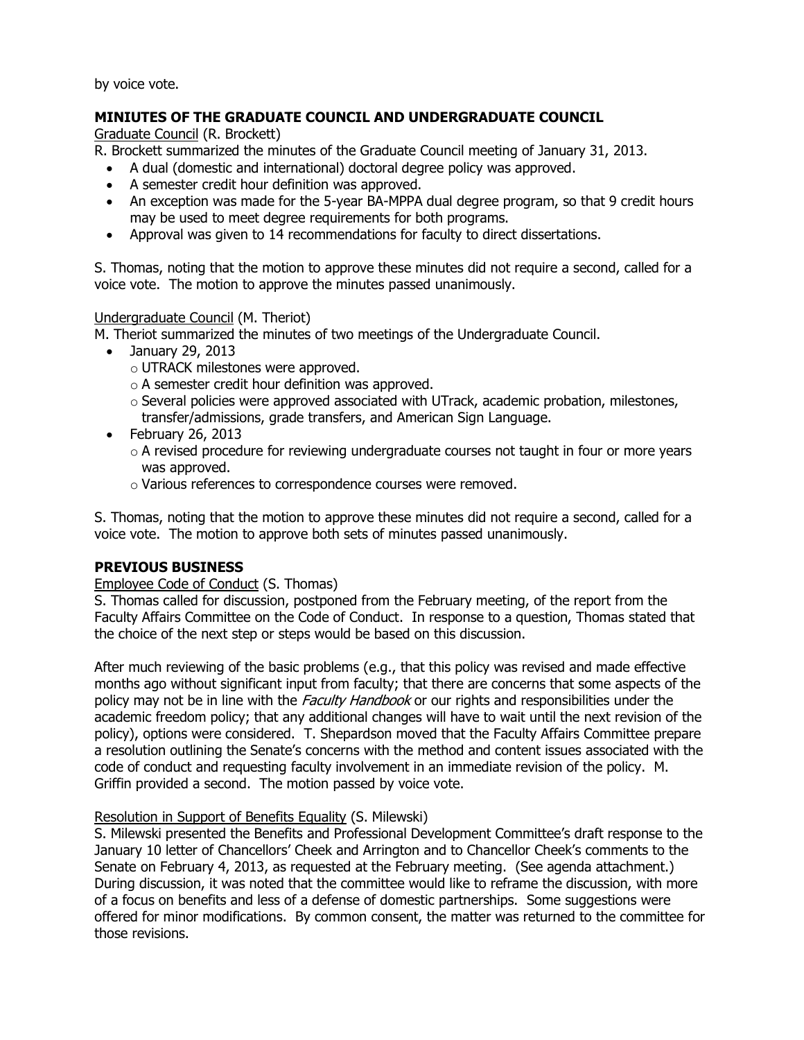by voice vote.

### **MINIUTES OF THE GRADUATE COUNCIL AND UNDERGRADUATE COUNCIL**

Graduate Council (R. Brockett)

R. Brockett summarized the minutes of the Graduate Council meeting of January 31, 2013.

- A dual (domestic and international) doctoral degree policy was approved.
- A semester credit hour definition was approved.
- An exception was made for the 5-year BA-MPPA dual degree program, so that 9 credit hours may be used to meet degree requirements for both programs.
- Approval was given to 14 recommendations for faculty to direct dissertations.

S. Thomas, noting that the motion to approve these minutes did not require a second, called for a voice vote. The motion to approve the minutes passed unanimously.

#### Undergraduate Council (M. Theriot)

M. Theriot summarized the minutes of two meetings of the Undergraduate Council.

- January 29, 2013
	- o UTRACK milestones were approved.
	- o A semester credit hour definition was approved.
	- $\circ$  Several policies were approved associated with UTrack, academic probation, milestones, transfer/admissions, grade transfers, and American Sign Language.
- $\bullet$  February 26, 2013
	- $\circ$  A revised procedure for reviewing undergraduate courses not taught in four or more years was approved.
	- o Various references to correspondence courses were removed.

S. Thomas, noting that the motion to approve these minutes did not require a second, called for a voice vote. The motion to approve both sets of minutes passed unanimously.

# **PREVIOUS BUSINESS**

#### Employee Code of Conduct (S. Thomas)

S. Thomas called for discussion, postponed from the February meeting, of the report from the Faculty Affairs Committee on the Code of Conduct. In response to a question, Thomas stated that the choice of the next step or steps would be based on this discussion.

After much reviewing of the basic problems (e.g., that this policy was revised and made effective months ago without significant input from faculty; that there are concerns that some aspects of the policy may not be in line with the Faculty Handbook or our rights and responsibilities under the academic freedom policy; that any additional changes will have to wait until the next revision of the policy), options were considered. T. Shepardson moved that the Faculty Affairs Committee prepare a resolution outlining the Senate's concerns with the method and content issues associated with the code of conduct and requesting faculty involvement in an immediate revision of the policy. M. Griffin provided a second. The motion passed by voice vote.

#### Resolution in Support of Benefits Equality (S. Milewski)

S. Milewski presented the Benefits and Professional Development Committee's draft response to the January 10 letter of Chancellors' Cheek and Arrington and to Chancellor Cheek's comments to the Senate on February 4, 2013, as requested at the February meeting. (See agenda attachment.) During discussion, it was noted that the committee would like to reframe the discussion, with more of a focus on benefits and less of a defense of domestic partnerships. Some suggestions were offered for minor modifications. By common consent, the matter was returned to the committee for those revisions.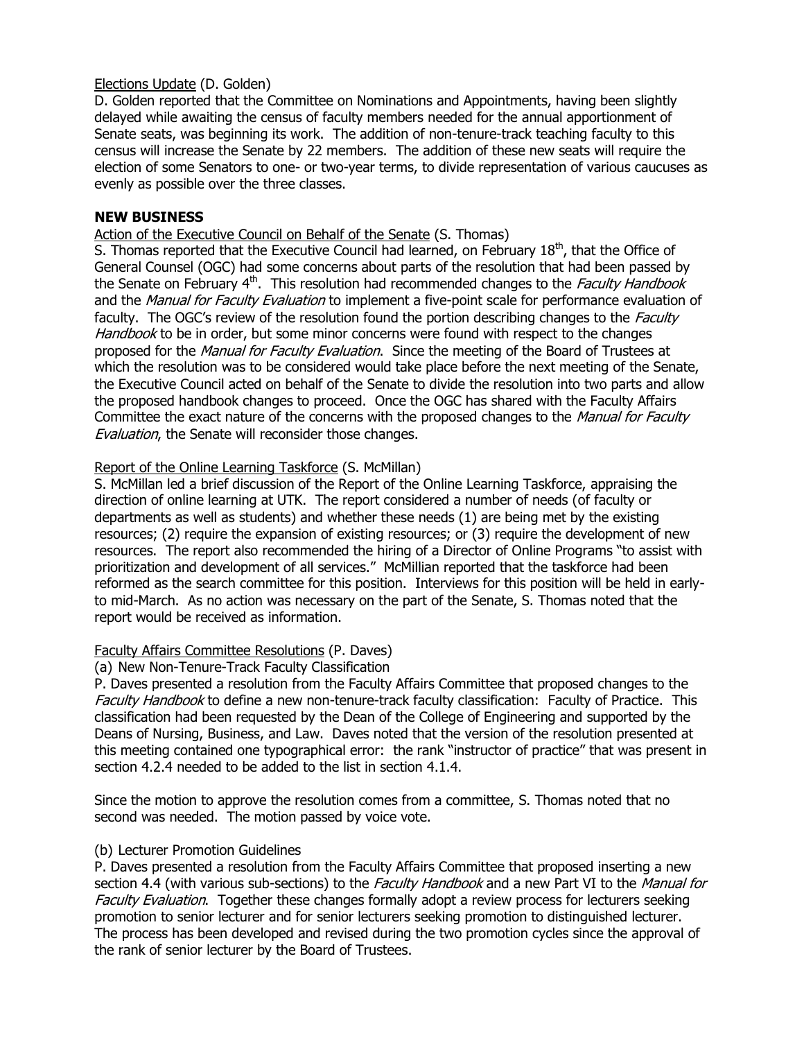### Elections Update (D. Golden)

D. Golden reported that the Committee on Nominations and Appointments, having been slightly delayed while awaiting the census of faculty members needed for the annual apportionment of Senate seats, was beginning its work. The addition of non-tenure-track teaching faculty to this census will increase the Senate by 22 members. The addition of these new seats will require the election of some Senators to one- or two-year terms, to divide representation of various caucuses as evenly as possible over the three classes.

### **NEW BUSINESS**

Action of the Executive Council on Behalf of the Senate (S. Thomas)

S. Thomas reported that the Executive Council had learned, on February  $18<sup>th</sup>$ , that the Office of General Counsel (OGC) had some concerns about parts of the resolution that had been passed by the Senate on February 4<sup>th</sup>. This resolution had recommended changes to the *Faculty Handbook* and the Manual for Faculty Evaluation to implement a five-point scale for performance evaluation of faculty. The OGC's review of the resolution found the portion describing changes to the Faculty Handbook to be in order, but some minor concerns were found with respect to the changes proposed for the *Manual for Faculty Evaluation*. Since the meeting of the Board of Trustees at which the resolution was to be considered would take place before the next meeting of the Senate, the Executive Council acted on behalf of the Senate to divide the resolution into two parts and allow the proposed handbook changes to proceed. Once the OGC has shared with the Faculty Affairs Committee the exact nature of the concerns with the proposed changes to the Manual for Faculty Evaluation, the Senate will reconsider those changes.

### Report of the Online Learning Taskforce (S. McMillan)

S. McMillan led a brief discussion of the Report of the Online Learning Taskforce, appraising the direction of online learning at UTK. The report considered a number of needs (of faculty or departments as well as students) and whether these needs (1) are being met by the existing resources; (2) require the expansion of existing resources; or (3) require the development of new resources. The report also recommended the hiring of a Director of Online Programs "to assist with prioritization and development of all services." McMillian reported that the taskforce had been reformed as the search committee for this position. Interviews for this position will be held in earlyto mid-March. As no action was necessary on the part of the Senate, S. Thomas noted that the report would be received as information.

# Faculty Affairs Committee Resolutions (P. Daves)

#### (a) New Non-Tenure-Track Faculty Classification

P. Daves presented a resolution from the Faculty Affairs Committee that proposed changes to the Faculty Handbook to define a new non-tenure-track faculty classification: Faculty of Practice. This classification had been requested by the Dean of the College of Engineering and supported by the Deans of Nursing, Business, and Law. Daves noted that the version of the resolution presented at this meeting contained one typographical error: the rank "instructor of practice" that was present in section 4.2.4 needed to be added to the list in section 4.1.4.

Since the motion to approve the resolution comes from a committee, S. Thomas noted that no second was needed. The motion passed by voice vote.

#### (b) Lecturer Promotion Guidelines

P. Daves presented a resolution from the Faculty Affairs Committee that proposed inserting a new section 4.4 (with various sub-sections) to the *Faculty Handbook* and a new Part VI to the *Manual for* Faculty Evaluation. Together these changes formally adopt a review process for lecturers seeking promotion to senior lecturer and for senior lecturers seeking promotion to distinguished lecturer. The process has been developed and revised during the two promotion cycles since the approval of the rank of senior lecturer by the Board of Trustees.